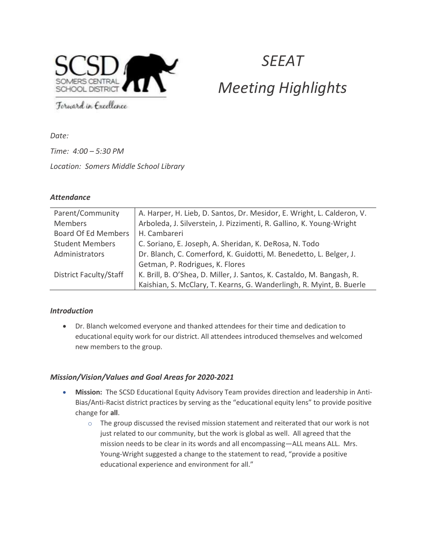

# **SEEAT** Meeting Highlights

Forward in Excellence

Date:

Time: 4:00 – 5:30 PM Location: Somers Middle School Library

## **Attendance**

| Parent/Community              | A. Harper, H. Lieb, D. Santos, Dr. Mesidor, E. Wright, L. Calderon, V. |
|-------------------------------|------------------------------------------------------------------------|
| <b>Members</b>                | Arboleda, J. Silverstein, J. Pizzimenti, R. Gallino, K. Young-Wright   |
| <b>Board Of Ed Members</b>    | H. Cambareri                                                           |
| <b>Student Members</b>        | C. Soriano, E. Joseph, A. Sheridan, K. DeRosa, N. Todo                 |
| Administrators                | Dr. Blanch, C. Comerford, K. Guidotti, M. Benedetto, L. Belger, J.     |
|                               | Getman, P. Rodrigues, K. Flores                                        |
| <b>District Faculty/Staff</b> | K. Brill, B. O'Shea, D. Miller, J. Santos, K. Castaldo, M. Bangash, R. |
|                               | Kaishian, S. McClary, T. Kearns, G. Wanderlingh, R. Myint, B. Buerle   |

## Introduction

 Dr. Blanch welcomed everyone and thanked attendees for their time and dedication to educational equity work for our district. All attendees introduced themselves and welcomed new members to the group.

## Mission/Vision/Values and Goal Areas for 2020-2021

- Mission: The SCSD Educational Equity Advisory Team provides direction and leadership in Anti-Bias/Anti-Racist district practices by serving as the "educational equity lens" to provide positive change for all.
	- $\circ$  The group discussed the revised mission statement and reiterated that our work is not just related to our community, but the work is global as well. All agreed that the mission needs to be clear in its words and all encompassing—ALL means ALL. Mrs. Young-Wright suggested a change to the statement to read, "provide a positive educational experience and environment for all."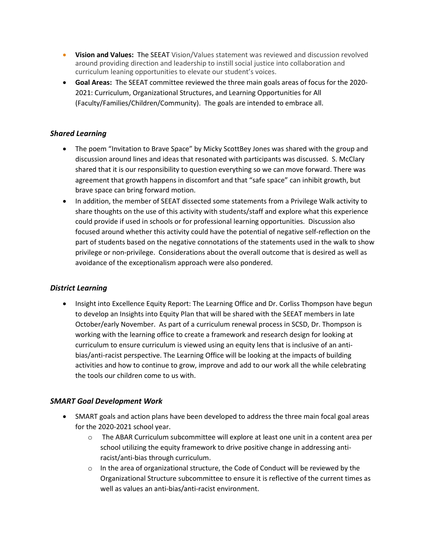- Vision and Values: The SEEAT Vision/Values statement was reviewed and discussion revolved around providing direction and leadership to instill social justice into collaboration and curriculum leaning opportunities to elevate our student's voices.
- Goal Areas: The SEEAT committee reviewed the three main goals areas of focus for the 2020- 2021: Curriculum, Organizational Structures, and Learning Opportunities for All (Faculty/Families/Children/Community). The goals are intended to embrace all.

### Shared Learning

- The poem "Invitation to Brave Space" by Micky ScottBey Jones was shared with the group and discussion around lines and ideas that resonated with participants was discussed. S. McClary shared that it is our responsibility to question everything so we can move forward. There was agreement that growth happens in discomfort and that "safe space" can inhibit growth, but brave space can bring forward motion.
- In addition, the member of SEEAT dissected some statements from a Privilege Walk activity to share thoughts on the use of this activity with students/staff and explore what this experience could provide if used in schools or for professional learning opportunities. Discussion also focused around whether this activity could have the potential of negative self-reflection on the part of students based on the negative connotations of the statements used in the walk to show privilege or non-privilege. Considerations about the overall outcome that is desired as well as avoidance of the exceptionalism approach were also pondered.

#### District Learning

• Insight into Excellence Equity Report: The Learning Office and Dr. Corliss Thompson have begun to develop an Insights into Equity Plan that will be shared with the SEEAT members in late October/early November. As part of a curriculum renewal process in SCSD, Dr. Thompson is working with the learning office to create a framework and research design for looking at curriculum to ensure curriculum is viewed using an equity lens that is inclusive of an antibias/anti-racist perspective. The Learning Office will be looking at the impacts of building activities and how to continue to grow, improve and add to our work all the while celebrating the tools our children come to us with.

#### SMART Goal Development Work

- SMART goals and action plans have been developed to address the three main focal goal areas for the 2020-2021 school year.
	- $\circ$  The ABAR Curriculum subcommittee will explore at least one unit in a content area per school utilizing the equity framework to drive positive change in addressing antiracist/anti-bias through curriculum.
	- $\circ$  In the area of organizational structure, the Code of Conduct will be reviewed by the Organizational Structure subcommittee to ensure it is reflective of the current times as well as values an anti-bias/anti-racist environment.